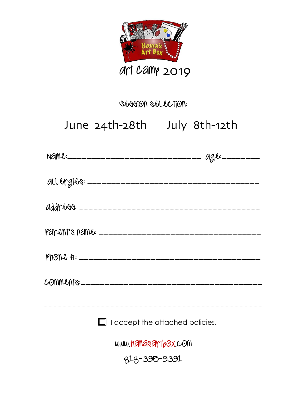

#### Session selection:

# *June 18th- 22nd July 16th- 20th*  June 24th-28th July 8th-12th

|                     | $\Box$ I accept the attached policies. |  |
|---------------------|----------------------------------------|--|
| www.hanasartbox.com |                                        |  |
| 818-396-9391        |                                        |  |